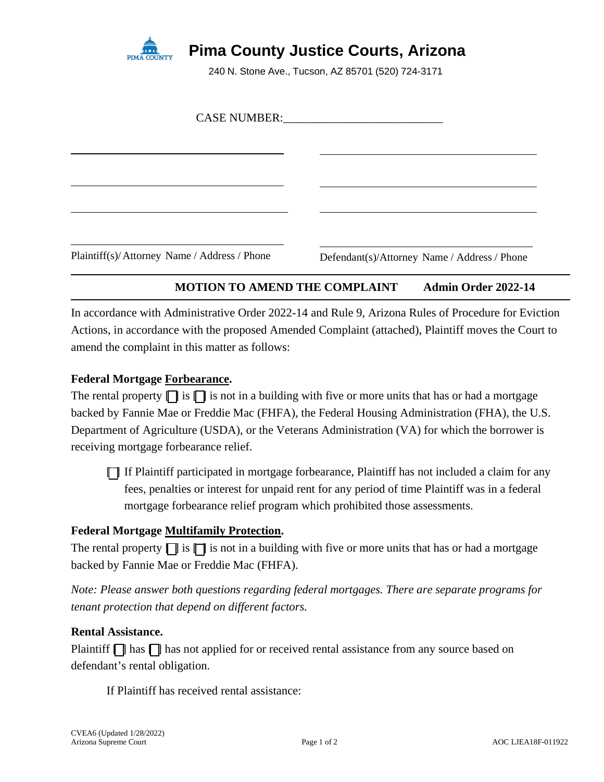

# **Pima County Justice Courts, Arizona**

240 N. Stone Ave., Tucson, AZ 85701 (520) 724-3171

| Plaintiff(s)/Attorney Name / Address / Phone | Defendant(s)/Attorney Name / Address / Phone |
|----------------------------------------------|----------------------------------------------|

## **MOTION TO AMEND THE COMPLAINT Admin Order 2022-14**

In accordance with Administrative Order 2022-14 and Rule 9, Arizona Rules of Procedure for Eviction Actions, in accordance with the proposed Amended Complaint (attached), Plaintiff moves the Court to amend the complaint in this matter as follows:

### **Federal Mortgage Forbearance.**

The rental property  $\prod$  is  $\prod$  is not in a building with five or more units that has or had a mortgage backed by Fannie Mae or Freddie Mac (FHFA), the Federal Housing Administration (FHA), the U.S. Department of Agriculture (USDA), or the Veterans Administration (VA) for which the borrower is receiving mortgage forbearance relief.

[ ] If Plaintiff participated in mortgage forbearance, Plaintiff has not included a claim for any fees, penalties or interest for unpaid rent for any period of time Plaintiff was in a federal mortgage forbearance relief program which prohibited those assessments.

#### **Federal Mortgage Multifamily Protection.**

The rental property  $\prod$  is  $\prod$  is not in a building with five or more units that has or had a mortgage backed by Fannie Mae or Freddie Mac (FHFA).

*Note: Please answer both questions regarding federal mortgages. There are separate programs for tenant protection that depend on different factors.*

#### **Rental Assistance.**

Plaintiff  $\Box$  has  $\Box$  has not applied for or received rental assistance from any source based on defendant's rental obligation.

If Plaintiff has received rental assistance: